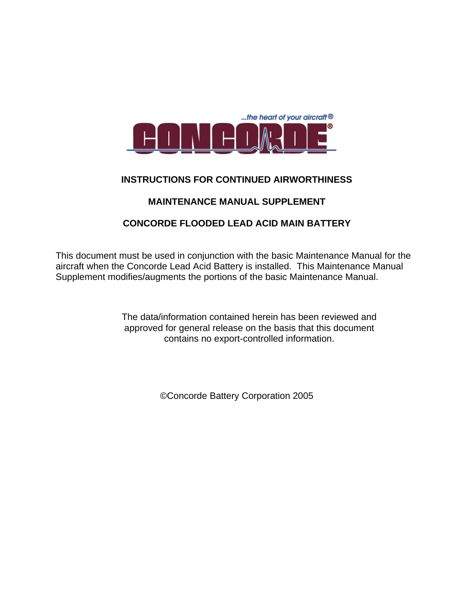

#### **INSTRUCTIONS FOR CONTINUED AIRWORTHINESS**

### **MAINTENANCE MANUAL SUPPLEMENT**

## **CONCORDE FLOODED LEAD ACID MAIN BATTERY**

This document must be used in conjunction with the basic Maintenance Manual for the aircraft when the Concorde Lead Acid Battery is installed. This Maintenance Manual Supplement modifies/augments the portions of the basic Maintenance Manual.

> The data/information contained herein has been reviewed and approved for general release on the basis that this document contains no export-controlled information.

> > ©Concorde Battery Corporation 2005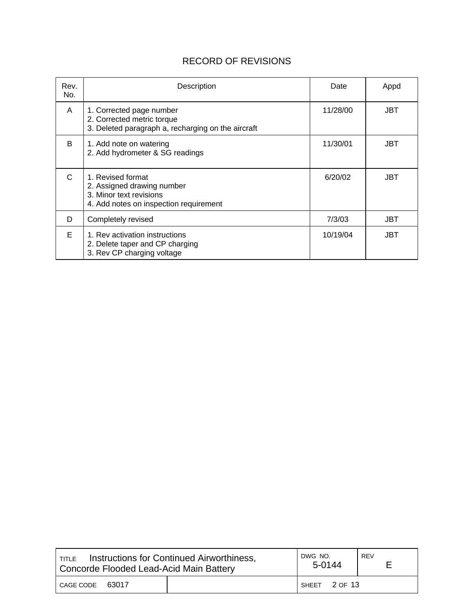# RECORD OF REVISIONS

| Rev.<br>No. | Description                                                                                                          | Date     | Appd |
|-------------|----------------------------------------------------------------------------------------------------------------------|----------|------|
| A           | 1. Corrected page number<br>2. Corrected metric torque<br>3. Deleted paragraph a, recharging on the aircraft         | 11/28/00 | JBT  |
| B.          | 1. Add note on watering<br>2. Add hydrometer & SG readings                                                           | 11/30/01 | JBT  |
| C           | 1. Revised format<br>2. Assigned drawing number<br>3. Minor text revisions<br>4. Add notes on inspection requirement | 6/20/02  | JBT  |
| D           | Completely revised                                                                                                   | 7/3/03   | JBT  |
| F           | 1. Rev activation instructions<br>2. Delete taper and CP charging<br>3. Rev CP charging voltage                      | 10/19/04 | JBT  |

| <b>Instructions for Continued Airworthiness,</b><br>TITLE<br>Concorde Flooded Lead-Acid Main Battery |  | DWG NO.<br>5-0144 | REV |
|------------------------------------------------------------------------------------------------------|--|-------------------|-----|
| 63017<br>CAGE CODE                                                                                   |  | SHEET 2 OF 13     |     |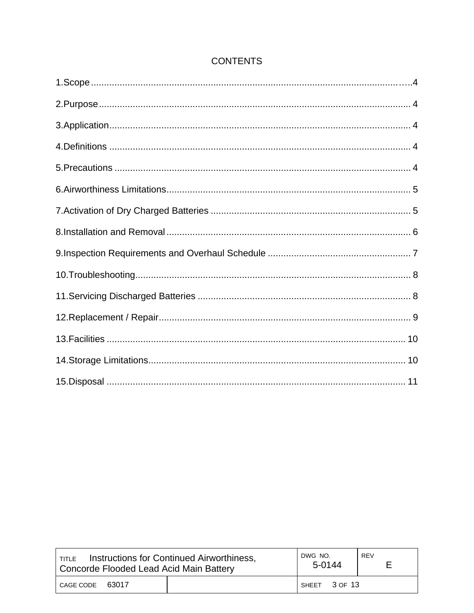# **CONTENTS**

| Instructions for Continued Airworthiness,<br><b>TITLE</b><br>Concorde Flooded Lead Acid Main Battery |  | DWG NO.<br>5-0144 | REV |
|------------------------------------------------------------------------------------------------------|--|-------------------|-----|
| 63017<br>CAGE CODE                                                                                   |  | SHEET 3 OF 13     |     |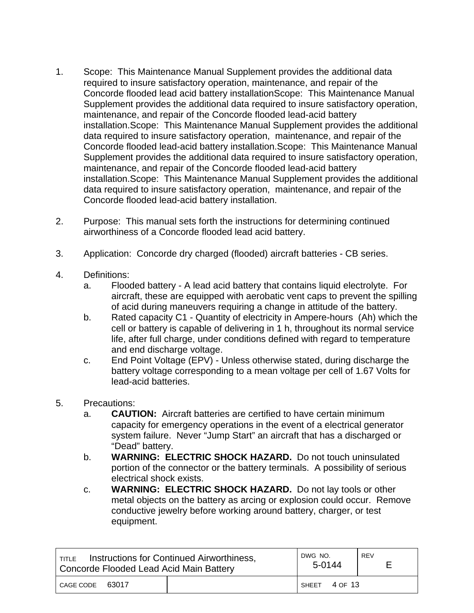- 1. Scope: This Maintenance Manual Supplement provides the additional data required to insure satisfactory operation, maintenance, and repair of the Concorde flooded lead acid battery installationScope: This Maintenance Manual Supplement provides the additional data required to insure satisfactory operation, maintenance, and repair of the Concorde flooded lead-acid battery installation.Scope: This Maintenance Manual Supplement provides the additional data required to insure satisfactory operation, maintenance, and repair of the Concorde flooded lead-acid battery installation.Scope: This Maintenance Manual Supplement provides the additional data required to insure satisfactory operation, maintenance, and repair of the Concorde flooded lead-acid battery installation.Scope: This Maintenance Manual Supplement provides the additional data required to insure satisfactory operation, maintenance, and repair of the Concorde flooded lead-acid battery installation.
- 2. Purpose: This manual sets forth the instructions for determining continued airworthiness of a Concorde flooded lead acid battery.
- 3. Application: Concorde dry charged (flooded) aircraft batteries CB series.
- 4. Definitions:
	- a. Flooded battery A lead acid battery that contains liquid electrolyte. For aircraft, these are equipped with aerobatic vent caps to prevent the spilling of acid during maneuvers requiring a change in attitude of the battery.
	- b. Rated capacity C1 Quantity of electricity in Ampere-hours (Ah) which the cell or battery is capable of delivering in 1 h, throughout its normal service life, after full charge, under conditions defined with regard to temperature and end discharge voltage.
	- c. End Point Voltage (EPV) Unless otherwise stated, during discharge the battery voltage corresponding to a mean voltage per cell of 1.67 Volts for lead-acid batteries.
- 5. Precautions:
	- a. **CAUTION:** Aircraft batteries are certified to have certain minimum capacity for emergency operations in the event of a electrical generator system failure. Never "Jump Start" an aircraft that has a discharged or "Dead" battery.
	- b. **WARNING: ELECTRIC SHOCK HAZARD.** Do not touch uninsulated portion of the connector or the battery terminals. A possibility of serious electrical shock exists.
	- c. **WARNING: ELECTRIC SHOCK HAZARD.** Do not lay tools or other metal objects on the battery as arcing or explosion could occur. Remove conductive jewelry before working around battery, charger, or test equipment.

| Instructions for Continued Airworthiness,<br><b>TITLE</b><br>Concorde Flooded Lead Acid Main Battery |  | DWG NO.<br>5-0144 | REV |
|------------------------------------------------------------------------------------------------------|--|-------------------|-----|
| 63017<br>CAGE CODE                                                                                   |  | SHEET 4 OF 13     |     |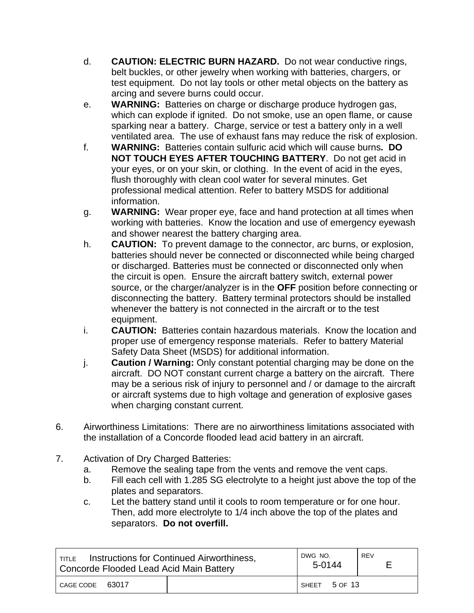- d. **CAUTION: ELECTRIC BURN HAZARD.** Do not wear conductive rings, belt buckles, or other jewelry when working with batteries, chargers, or test equipment. Do not lay tools or other metal objects on the battery as arcing and severe burns could occur.
- e. **WARNING:** Batteries on charge or discharge produce hydrogen gas, which can explode if ignited. Do not smoke, use an open flame, or cause sparking near a battery. Charge, service or test a battery only in a well ventilated area. The use of exhaust fans may reduce the risk of explosion.
- f. **WARNING:** Batteries contain sulfuric acid which will cause burns**. DO NOT TOUCH EYES AFTER TOUCHING BATTERY**. Do not get acid in your eyes, or on your skin, or clothing. In the event of acid in the eyes, flush thoroughly with clean cool water for several minutes. Get professional medical attention. Refer to battery MSDS for additional information.
- g. **WARNING:** Wear proper eye, face and hand protection at all times when working with batteries. Know the location and use of emergency eyewash and shower nearest the battery charging area.
- h. **CAUTION:** To prevent damage to the connector, arc burns, or explosion, batteries should never be connected or disconnected while being charged or discharged. Batteries must be connected or disconnected only when the circuit is open. Ensure the aircraft battery switch, external power source, or the charger/analyzer is in the **OFF** position before connecting or disconnecting the battery. Battery terminal protectors should be installed whenever the battery is not connected in the aircraft or to the test equipment.
- i. **CAUTION:** Batteries contain hazardous materials. Know the location and proper use of emergency response materials. Refer to battery Material Safety Data Sheet (MSDS) for additional information.
- j. **Caution / Warning:** Only constant potential charging may be done on the aircraft. DO NOT constant current charge a battery on the aircraft. There may be a serious risk of injury to personnel and / or damage to the aircraft or aircraft systems due to high voltage and generation of explosive gases when charging constant current.
- 6. Airworthiness Limitations: There are no airworthiness limitations associated with the installation of a Concorde flooded lead acid battery in an aircraft.
- 7. Activation of Dry Charged Batteries:
	- a. Remove the sealing tape from the vents and remove the vent caps.
	- b. Fill each cell with 1.285 SG electrolyte to a height just above the top of the plates and separators.
	- c. Let the battery stand until it cools to room temperature or for one hour. Then, add more electrolyte to 1/4 inch above the top of the plates and separators. **Do not overfill.**

| Instructions for Continued Airworthiness,<br>TITLE<br>Concorde Flooded Lead Acid Main Battery |  | DWG NO.<br>5-0144 | REV |
|-----------------------------------------------------------------------------------------------|--|-------------------|-----|
| 63017<br>CAGE CODE                                                                            |  | SHEET 5 OF 13     |     |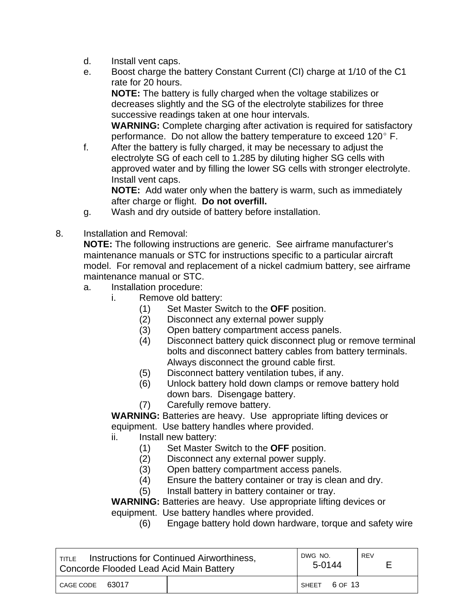- d. Install vent caps.
- e. Boost charge the battery Constant Current (CI) charge at 1/10 of the C1 rate for 20 hours.

**NOTE:** The battery is fully charged when the voltage stabilizes or decreases slightly and the SG of the electrolyte stabilizes for three successive readings taken at one hour intervals.

 **WARNING:** Complete charging after activation is required for satisfactory performance. Do not allow the battery temperature to exceed 120 $^{\circ}$  F.

f. After the battery is fully charged, it may be necessary to adjust the electrolyte SG of each cell to 1.285 by diluting higher SG cells with approved water and by filling the lower SG cells with stronger electrolyte. Install vent caps.

 **NOTE:** Add water only when the battery is warm, such as immediately after charge or flight. **Do not overfill.**

- g. Wash and dry outside of battery before installation.
- 8. Installation and Removal:

**NOTE:** The following instructions are generic. See airframe manufacturer's maintenance manuals or STC for instructions specific to a particular aircraft model. For removal and replacement of a nickel cadmium battery, see airframe maintenance manual or STC.

- a. Installation procedure:
	- i. Remove old battery:
		- (1) Set Master Switch to the **OFF** position.
		- (2) Disconnect any external power supply
		- (3) Open battery compartment access panels.
		- (4) Disconnect battery quick disconnect plug or remove terminal bolts and disconnect battery cables from battery terminals. Always disconnect the ground cable first.
		- (5) Disconnect battery ventilation tubes, if any.
		- (6) Unlock battery hold down clamps or remove battery hold down bars. Disengage battery.
		- (7) Carefully remove battery.

 **WARNING:** Batteries are heavy. Use appropriate lifting devices or equipment. Use battery handles where provided.

- ii. Install new battery:
	- (1) Set Master Switch to the **OFF** position.
	- (2) Disconnect any external power supply.
	- (3) Open battery compartment access panels.
	- (4) Ensure the battery container or tray is clean and dry.
	- (5) Install battery in battery container or tray.

**WARNING:** Batteries are heavy. Use appropriate lifting devices or equipment. Use battery handles where provided.

(6) Engage battery hold down hardware, torque and safety wire

| Instructions for Continued Airworthiness,<br>TITLE<br>Concorde Flooded Lead Acid Main Battery |  | DWG NO.<br>5-0144 | <b>REV</b> |
|-----------------------------------------------------------------------------------------------|--|-------------------|------------|
| 63017<br>CAGE CODE                                                                            |  | 6 OF 13<br>SHEET  |            |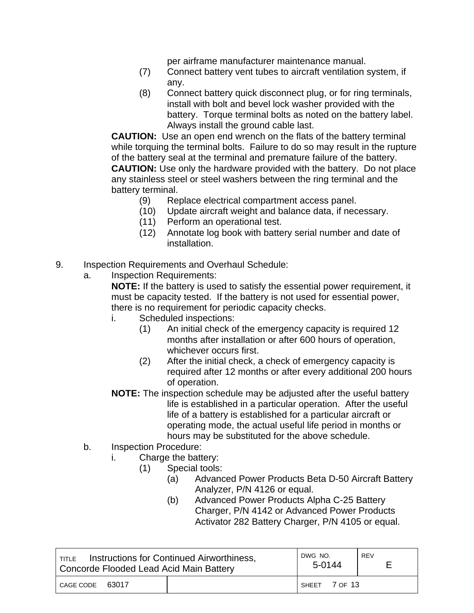per airframe manufacturer maintenance manual.

- (7) Connect battery vent tubes to aircraft ventilation system, if any.
- (8) Connect battery quick disconnect plug, or for ring terminals, install with bolt and bevel lock washer provided with the battery. Torque terminal bolts as noted on the battery label. Always install the ground cable last.

**CAUTION:** Use an open end wrench on the flats of the battery terminal while torquing the terminal bolts. Failure to do so may result in the rupture of the battery seal at the terminal and premature failure of the battery.  **CAUTION:** Use only the hardware provided with the battery. Do not place any stainless steel or steel washers between the ring terminal and the battery terminal.

- (9) Replace electrical compartment access panel.
- (10) Update aircraft weight and balance data, if necessary.
- (11) Perform an operational test.
- (12) Annotate log book with battery serial number and date of installation.
- 9. Inspection Requirements and Overhaul Schedule:
	- a. Inspection Requirements:

**NOTE:** If the battery is used to satisfy the essential power requirement, it must be capacity tested. If the battery is not used for essential power, there is no requirement for periodic capacity checks.

- i. Scheduled inspections:
	- (1) An initial check of the emergency capacity is required 12 months after installation or after 600 hours of operation, whichever occurs first.
	- (2) After the initial check, a check of emergency capacity is required after 12 months or after every additional 200 hours of operation.
- **NOTE:** The inspection schedule may be adjusted after the useful battery life is established in a particular operation. After the useful life of a battery is established for a particular aircraft or operating mode, the actual useful life period in months or hours may be substituted for the above schedule.
- b. Inspection Procedure:
	- i. Charge the battery:
		- (1) Special tools:
			- (a) Advanced Power Products Beta D-50 Aircraft Battery Analyzer, P/N 4126 or equal.
			- (b) Advanced Power Products Alpha C-25 Battery Charger, P/N 4142 or Advanced Power Products Activator 282 Battery Charger, P/N 4105 or equal.

| Instructions for Continued Airworthiness,<br>TITLE<br>Concorde Flooded Lead Acid Main Battery |  | DWG NO.<br>5-0144 | <b>REV</b> |
|-----------------------------------------------------------------------------------------------|--|-------------------|------------|
| 63017<br>CAGE CODE                                                                            |  | SHEET 7 OF 13     |            |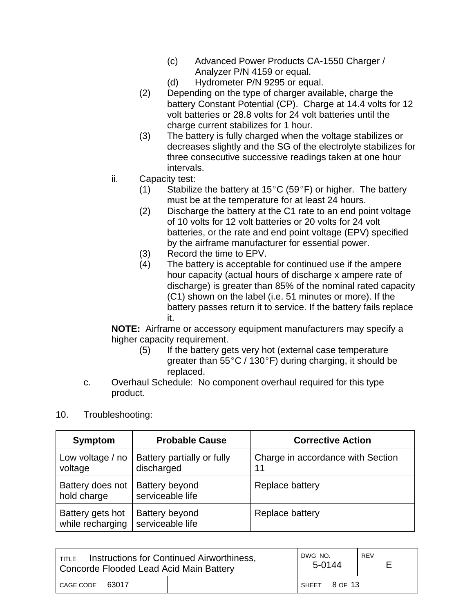- (c) Advanced Power Products CA-1550 Charger / Analyzer P/N 4159 or equal.
- (d) Hydrometer P/N 9295 or equal.
- (2) Depending on the type of charger available, charge the battery Constant Potential (CP). Charge at 14.4 volts for 12 volt batteries or 28.8 volts for 24 volt batteries until the charge current stabilizes for 1 hour.
- (3) The battery is fully charged when the voltage stabilizes or decreases slightly and the SG of the electrolyte stabilizes for three consecutive successive readings taken at one hour intervals.
- ii. Capacity test:
	- (1) Stabilize the battery at 15°C (59°F) or higher. The battery must be at the temperature for at least 24 hours.
	- (2) Discharge the battery at the C1 rate to an end point voltage of 10 volts for 12 volt batteries or 20 volts for 24 volt batteries, or the rate and end point voltage (EPV) specified by the airframe manufacturer for essential power.
	- (3) Record the time to EPV.
	- (4) The battery is acceptable for continued use if the ampere hour capacity (actual hours of discharge x ampere rate of discharge) is greater than 85% of the nominal rated capacity (C1) shown on the label (i.e. 51 minutes or more). If the battery passes return it to service. If the battery fails replace it.

**NOTE:** Airframe or accessory equipment manufacturers may specify a higher capacity requirement.

- (5) If the battery gets very hot (external case temperature greater than  $55^{\circ}$ C / 130 $^{\circ}$ F) during charging, it should be replaced.
- c. Overhaul Schedule: No component overhaul required for this type product.

### 10. Troubleshooting:

| Symptom                              | <b>Probable Cause</b>                     | <b>Corrective Action</b>                |
|--------------------------------------|-------------------------------------------|-----------------------------------------|
| Low voltage / no<br>voltage          | Battery partially or fully<br>discharged  | Charge in accordance with Section<br>11 |
| Battery does not<br>hold charge      | Battery beyond<br>serviceable life        | Replace battery                         |
| Battery gets hot<br>while recharging | <b>Battery beyond</b><br>serviceable life | Replace battery                         |

| Instructions for Continued Airworthiness,<br>TITLE<br>Concorde Flooded Lead Acid Main Battery |  | DWG NO.<br>5-0144 | REV |
|-----------------------------------------------------------------------------------------------|--|-------------------|-----|
| 63017<br>CAGE CODE                                                                            |  | SHEET 8 OF 13     |     |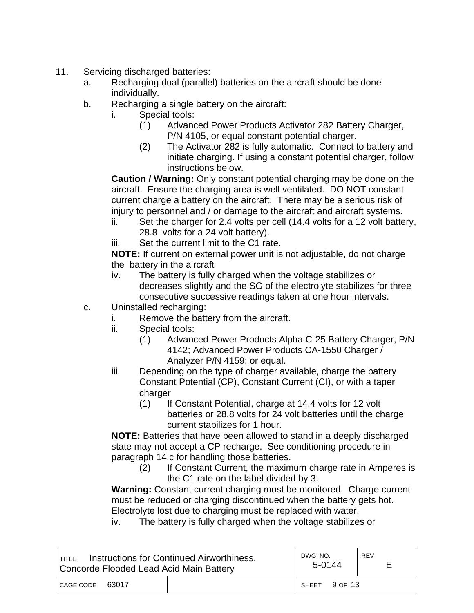- 11. Servicing discharged batteries:
	- a. Recharging dual (parallel) batteries on the aircraft should be done individually.
	- b. Recharging a single battery on the aircraft:
		- i. Special tools:
			- (1) Advanced Power Products Activator 282 Battery Charger, P/N 4105, or equal constant potential charger.
			- (2) The Activator 282 is fully automatic. Connect to battery and initiate charging. If using a constant potential charger, follow instructions below.

**Caution / Warning:** Only constant potential charging may be done on the aircraft. Ensure the charging area is well ventilated. DO NOT constant current charge a battery on the aircraft. There may be a serious risk of injury to personnel and / or damage to the aircraft and aircraft systems.

- ii. Set the charger for 2.4 volts per cell (14.4 volts for a 12 volt battery, 28.8 volts for a 24 volt battery).
- iii. Set the current limit to the C1 rate.

 **NOTE:** If current on external power unit is not adjustable, do not charge the battery in the aircraft

- iv. The battery is fully charged when the voltage stabilizes or decreases slightly and the SG of the electrolyte stabilizes for three consecutive successive readings taken at one hour intervals.
- c. Uninstalled recharging:
	- i. Remove the battery from the aircraft.
	- ii. Special tools:
		- (1) Advanced Power Products Alpha C-25 Battery Charger, P/N 4142; Advanced Power Products CA-1550 Charger / Analyzer P/N 4159; or equal.
	- iii. Depending on the type of charger available, charge the battery Constant Potential (CP), Constant Current (CI), or with a taper charger
		- (1) If Constant Potential, charge at 14.4 volts for 12 volt batteries or 28.8 volts for 24 volt batteries until the charge current stabilizes for 1 hour.

**NOTE:** Batteries that have been allowed to stand in a deeply discharged state may not accept a CP recharge. See conditioning procedure in paragraph 14.c for handling those batteries.

(2) If Constant Current, the maximum charge rate in Amperes is the C1 rate on the label divided by 3.

**Warning:** Constant current charging must be monitored. Charge current must be reduced or charging discontinued when the battery gets hot. Electrolyte lost due to charging must be replaced with water.

iv. The battery is fully charged when the voltage stabilizes or

| Instructions for Continued Airworthiness,<br>TITLE<br>Concorde Flooded Lead Acid Main Battery |  | DWG NO.<br>5-0144 | <b>REV</b> |
|-----------------------------------------------------------------------------------------------|--|-------------------|------------|
| 63017<br>CAGE CODE                                                                            |  | ISHEET 9 OF 13    |            |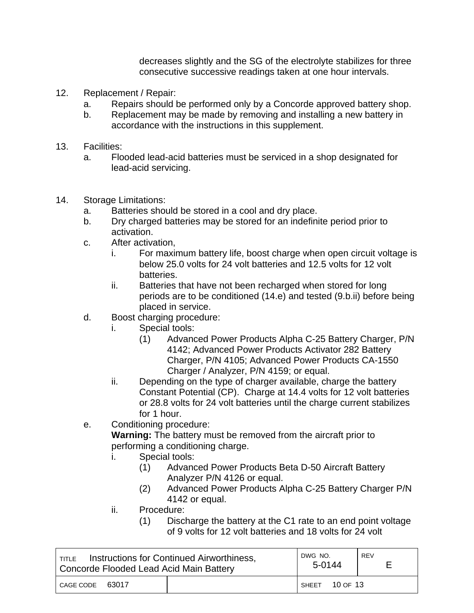decreases slightly and the SG of the electrolyte stabilizes for three consecutive successive readings taken at one hour intervals.

- 12. Replacement / Repair:
	- a. Repairs should be performed only by a Concorde approved battery shop.
	- b. Replacement may be made by removing and installing a new battery in accordance with the instructions in this supplement.
- 13. Facilities:
	- a. Flooded lead-acid batteries must be serviced in a shop designated for lead-acid servicing.
- 14. Storage Limitations:
	- a. Batteries should be stored in a cool and dry place.
	- b. Dry charged batteries may be stored for an indefinite period prior to activation.
	- c. After activation,
		- i. For maximum battery life, boost charge when open circuit voltage is below 25.0 volts for 24 volt batteries and 12.5 volts for 12 volt batteries.
		- ii. Batteries that have not been recharged when stored for long periods are to be conditioned (14.e) and tested (9.b.ii) before being placed in service.
	- d. Boost charging procedure:
		- i. Special tools:
			- (1) Advanced Power Products Alpha C-25 Battery Charger, P/N 4142; Advanced Power Products Activator 282 Battery Charger, P/N 4105; Advanced Power Products CA-1550 Charger / Analyzer, P/N 4159; or equal.
		- ii. Depending on the type of charger available, charge the battery Constant Potential (CP). Charge at 14.4 volts for 12 volt batteries or 28.8 volts for 24 volt batteries until the charge current stabilizes for 1 hour.
	- e. Conditioning procedure:

 **Warning:** The battery must be removed from the aircraft prior to performing a conditioning charge.

- i. Special tools:
	- (1) Advanced Power Products Beta D-50 Aircraft Battery Analyzer P/N 4126 or equal.
	- (2) Advanced Power Products Alpha C-25 Battery Charger P/N 4142 or equal.
- ii. Procedure:
	- (1) Discharge the battery at the C1 rate to an end point voltage of 9 volts for 12 volt batteries and 18 volts for 24 volt

| <b>TITLE</b> Instructions for Continued Airworthiness,<br>Concorde Flooded Lead Acid Main Battery |  | DWG NO.<br>5-0144 | REV |
|---------------------------------------------------------------------------------------------------|--|-------------------|-----|
| 63017<br>CAGE CODE                                                                                |  | 10 OF 13<br>SHFFT |     |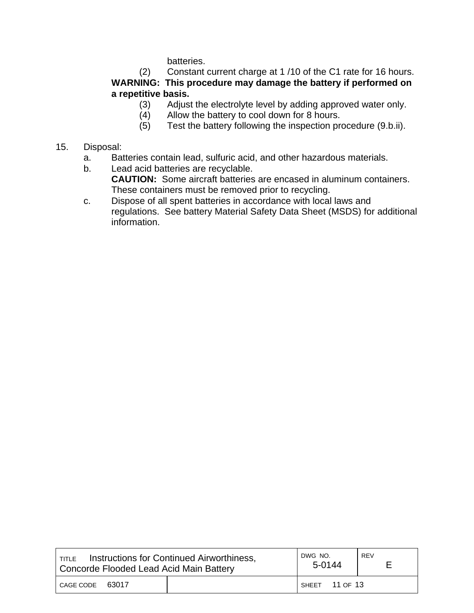batteries.

(2) Constant current charge at 1 /10 of the C1 rate for 16 hours. **WARNING: This procedure may damage the battery if performed on a repetitive basis.**

- (3) Adjust the electrolyte level by adding approved water only.
- (4) Allow the battery to cool down for 8 hours.
- (5) Test the battery following the inspection procedure (9.b.ii).
- 15. Disposal:
	- a. Batteries contain lead, sulfuric acid, and other hazardous materials.
	- b. Lead acid batteries are recyclable.

 **CAUTION:** Some aircraft batteries are encased in aluminum containers. These containers must be removed prior to recycling.

c. Dispose of all spent batteries in accordance with local laws and regulations. See battery Material Safety Data Sheet (MSDS) for additional information.

| Instructions for Continued Airworthiness,<br><b>TITLE</b><br>Concorde Flooded Lead Acid Main Battery |  | DWG NO.<br>5-0144 | REV |
|------------------------------------------------------------------------------------------------------|--|-------------------|-----|
| CAGE CODE<br>63017                                                                                   |  | SHEET 11 OF 13    |     |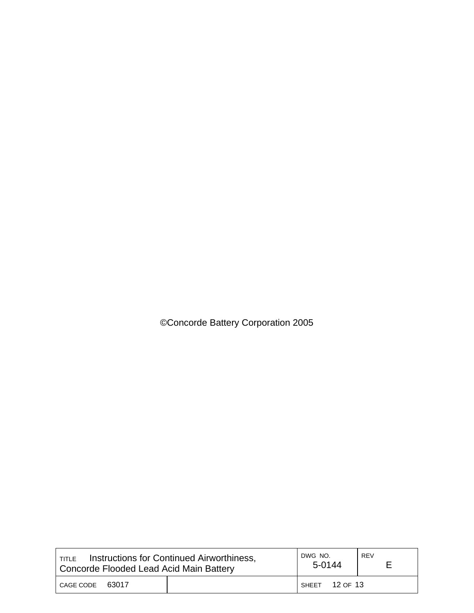©Concorde Battery Corporation 2005

| Instructions for Continued Airworthiness,<br>TITLE<br>Concorde Flooded Lead Acid Main Battery |  | DWG NO.<br>5-0144 | REV |
|-----------------------------------------------------------------------------------------------|--|-------------------|-----|
| CAGE CODE<br>63017                                                                            |  | SHEET 12 OF 13    |     |